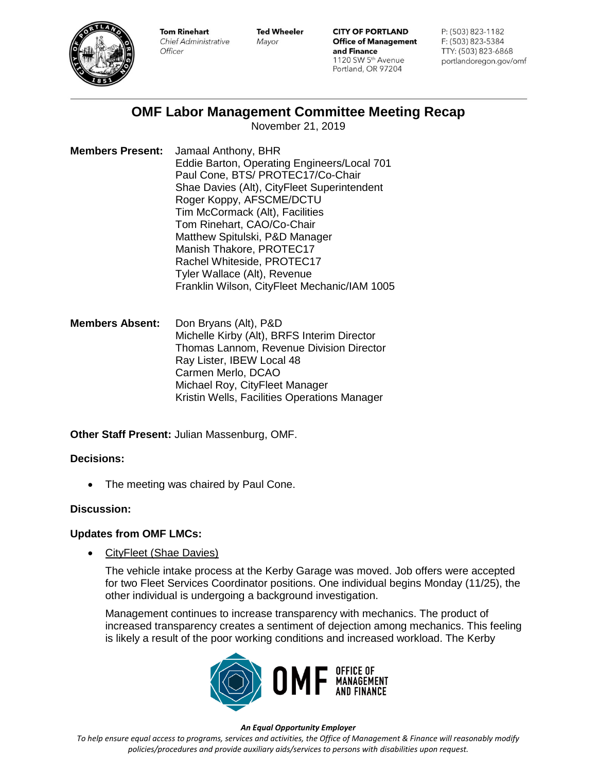

**Tom Rinehart** Chief Administrative Officer

**Ted Wheeler** Mayor

**CITY OF PORTLAND Office of Management** and Finance 1120 SW 5<sup>th</sup> Avenue Portland, OR 97204

P: (503) 823-1182 F: (503) 823-5384 TTY: (503) 823-6868 portlandoregon.gov/omf

# **OMF Labor Management Committee Meeting Recap**

November 21, 2019

**Members Present:** Jamaal Anthony, BHR Eddie Barton, Operating Engineers/Local 701 Paul Cone, BTS/ PROTEC17/Co-Chair Shae Davies (Alt), CityFleet Superintendent Roger Koppy, AFSCME/DCTU Tim McCormack (Alt), Facilities Tom Rinehart, CAO/Co-Chair Matthew Spitulski, P&D Manager Manish Thakore, PROTEC17 Rachel Whiteside, PROTEC17 Tyler Wallace (Alt), Revenue Franklin Wilson, CityFleet Mechanic/IAM 1005

**Members Absent:** Don Bryans (Alt), P&D Michelle Kirby (Alt), BRFS Interim Director Thomas Lannom, Revenue Division Director Ray Lister, IBEW Local 48 Carmen Merlo, DCAO Michael Roy, CityFleet Manager Kristin Wells, Facilities Operations Manager

**Other Staff Present:** Julian Massenburg, OMF.

## **Decisions:**

The meeting was chaired by Paul Cone.

## **Discussion:**

## **Updates from OMF LMCs:**

• CityFleet (Shae Davies)

The vehicle intake process at the Kerby Garage was moved. Job offers were accepted for two Fleet Services Coordinator positions. One individual begins Monday (11/25), the other individual is undergoing a background investigation.

Management continues to increase transparency with mechanics. The product of increased transparency creates a sentiment of dejection among mechanics. This feeling is likely a result of the poor working conditions and increased workload. The Kerby



#### *An Equal Opportunity Employer*

*To help ensure equal access to programs, services and activities, the Office of Management & Finance will reasonably modify policies/procedures and provide auxiliary aids/services to persons with disabilities upon request.*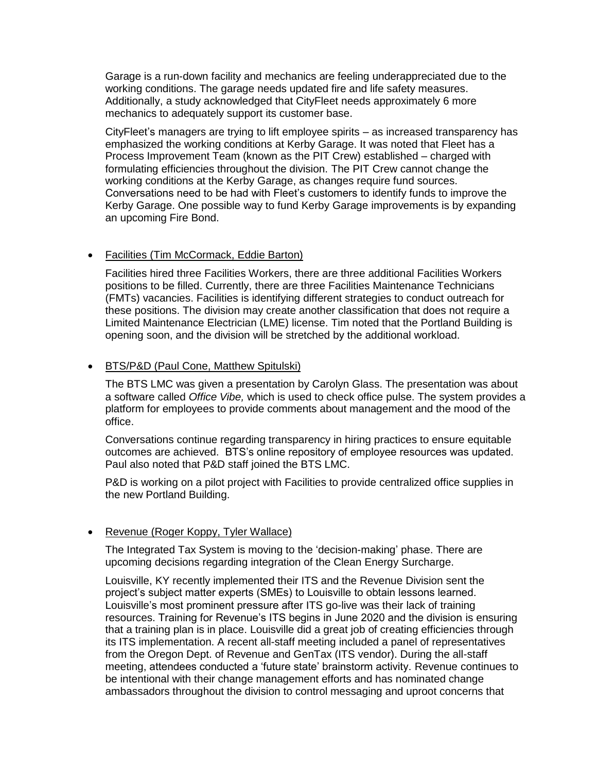Garage is a run-down facility and mechanics are feeling underappreciated due to the working conditions. The garage needs updated fire and life safety measures. Additionally, a study acknowledged that CityFleet needs approximately 6 more mechanics to adequately support its customer base.

CityFleet's managers are trying to lift employee spirits – as increased transparency has emphasized the working conditions at Kerby Garage. It was noted that Fleet has a Process Improvement Team (known as the PIT Crew) established – charged with formulating efficiencies throughout the division. The PIT Crew cannot change the working conditions at the Kerby Garage, as changes require fund sources. Conversations need to be had with Fleet's customers to identify funds to improve the Kerby Garage. One possible way to fund Kerby Garage improvements is by expanding an upcoming Fire Bond.

#### • Facilities (Tim McCormack, Eddie Barton)

Facilities hired three Facilities Workers, there are three additional Facilities Workers positions to be filled. Currently, there are three Facilities Maintenance Technicians (FMTs) vacancies. Facilities is identifying different strategies to conduct outreach for these positions. The division may create another classification that does not require a Limited Maintenance Electrician (LME) license. Tim noted that the Portland Building is opening soon, and the division will be stretched by the additional workload.

#### • BTS/P&D (Paul Cone, Matthew Spitulski)

The BTS LMC was given a presentation by Carolyn Glass. The presentation was about a software called *Office Vibe,* which is used to check office pulse. The system provides a platform for employees to provide comments about management and the mood of the office.

Conversations continue regarding transparency in hiring practices to ensure equitable outcomes are achieved. BTS's online repository of employee resources was updated. Paul also noted that P&D staff joined the BTS LMC.

P&D is working on a pilot project with Facilities to provide centralized office supplies in the new Portland Building.

### • Revenue (Roger Koppy, Tyler Wallace)

The Integrated Tax System is moving to the 'decision-making' phase. There are upcoming decisions regarding integration of the Clean Energy Surcharge.

Louisville, KY recently implemented their ITS and the Revenue Division sent the project's subject matter experts (SMEs) to Louisville to obtain lessons learned. Louisville's most prominent pressure after ITS go-live was their lack of training resources. Training for Revenue's ITS begins in June 2020 and the division is ensuring that a training plan is in place. Louisville did a great job of creating efficiencies through its ITS implementation. A recent all-staff meeting included a panel of representatives from the Oregon Dept. of Revenue and GenTax (ITS vendor). During the all-staff meeting, attendees conducted a 'future state' brainstorm activity. Revenue continues to be intentional with their change management efforts and has nominated change ambassadors throughout the division to control messaging and uproot concerns that